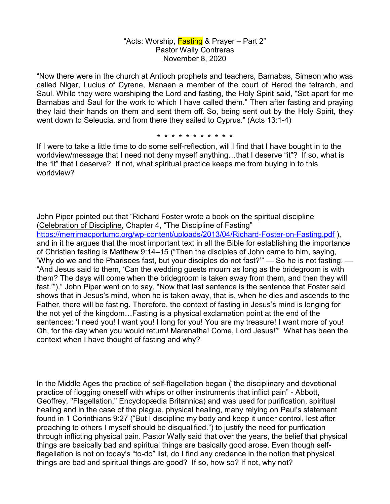## "Acts: Worship, **Fasting** & Prayer – Part 2" Pastor Wally Contreras November 8, 2020

"Now there were in the church at Antioch prophets and teachers, Barnabas, Simeon who was called Niger, Lucius of Cyrene, Manaen a member of the court of Herod the tetrarch, and Saul. While they were worshiping the Lord and fasting, the Holy Spirit said, "Set apart for me Barnabas and Saul for the work to which I have called them." Then after fasting and praying they laid their hands on them and sent them off. So, being sent out by the Holy Spirit, they went down to Seleucia, and from there they sailed to Cyprus." (Acts 13:1-4)

**\* \* \* \* \* \* \* \* \* \* \*** 

If I were to take a little time to do some self-reflection, will I find that I have bought in to the worldview/message that I need not deny myself anything...that I deserve "it"? If so, what is the "it" that I deserve? If not, what spiritual practice keeps me from buying in to this worldview?

John Piper pointed out that "Richard Foster wrote a book on the spiritual discipline (Celebration of Discipline, Chapter 4, "The Discipline of Fasting" https://merrimacportumc.org/wp-content/uploads/2013/04/Richard-Foster-on-Fasting.pdf ), and in it he argues that the most important text in all the Bible for establishing the importance of Christian fasting is Matthew 9:14–15 ("Then the disciples of John came to him, saying, 'Why do we and the Pharisees fast, but your disciples do not fast?" — So he is not fasting. -"And Jesus said to them, 'Can the wedding guests mourn as long as the bridegroom is with them? The days will come when the bridegroom is taken away from them, and then they will fast.'")." John Piper went on to say, "Now that last sentence is the sentence that Foster said shows that in Jesus's mind, when he is taken away, that is, when he dies and ascends to the Father, there will be fasting. Therefore, the context of fasting in Jesus's mind is longing for the not yet of the kingdom…Fasting is a physical exclamation point at the end of the sentences: 'I need you! I want you! I long for you! You are my treasure! I want more of you! Oh, for the day when you would return! Maranatha! Come, Lord Jesus!'" What has been the context when I have thought of fasting and why?

In the Middle Ages the practice of self-flagellation began ("the disciplinary and devotional practice of flogging oneself with whips or other instruments that inflict pain" - Abbott, Geoffrey, "Flagellation," Encyclopædia Britannica) and was used for purification, spiritual healing and in the case of the plague, physical healing, many relying on Paul's statement found in 1 Corinthians 9:27 ("But I discipline my body and keep it under control, lest after preaching to others I myself should be disqualified.") to justify the need for purification through inflicting physical pain. Pastor Wally said that over the years, the belief that physical things are basically bad and spiritual things are basically good arose. Even though selfflagellation is not on today's "to-do" list, do I find any credence in the notion that physical things are bad and spiritual things are good? If so, how so? If not, why not?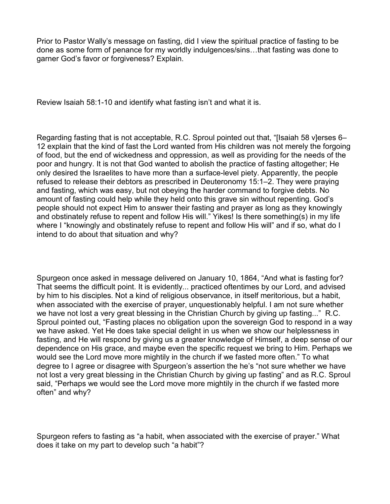Prior to Pastor Wally's message on fasting, did I view the spiritual practice of fasting to be done as some form of penance for my worldly indulgences/sins…that fasting was done to garner God's favor or forgiveness? Explain.

Review Isaiah 58:1-10 and identify what fasting isn't and what it is.

Regarding fasting that is not acceptable, R.C. Sproul pointed out that, "[Isaiah 58 v]erses 6– 12 explain that the kind of fast the Lord wanted from His children was not merely the forgoing of food, but the end of wickedness and oppression, as well as providing for the needs of the poor and hungry. It is not that God wanted to abolish the practice of fasting altogether; He only desired the Israelites to have more than a surface-level piety. Apparently, the people refused to release their debtors as prescribed in Deuteronomy 15:1–2. They were praying and fasting, which was easy, but not obeying the harder command to forgive debts. No amount of fasting could help while they held onto this grave sin without repenting. God's people should not expect Him to answer their fasting and prayer as long as they knowingly and obstinately refuse to repent and follow His will." Yikes! Is there something(s) in my life where I "knowingly and obstinately refuse to repent and follow His will" and if so, what do I intend to do about that situation and why?

Spurgeon once asked in message delivered on January 10, 1864, "And what is fasting for? That seems the difficult point. It is evidently... practiced oftentimes by our Lord, and advised by him to his disciples. Not a kind of religious observance, in itself meritorious, but a habit, when associated with the exercise of prayer, unquestionably helpful. I am not sure whether we have not lost a very great blessing in the Christian Church by giving up fasting..." R.C. Sproul pointed out, "Fasting places no obligation upon the sovereign God to respond in a way we have asked. Yet He does take special delight in us when we show our helplessness in fasting, and He will respond by giving us a greater knowledge of Himself, a deep sense of our dependence on His grace, and maybe even the specific request we bring to Him. Perhaps we would see the Lord move more mightily in the church if we fasted more often." To what degree to I agree or disagree with Spurgeon's assertion the he's "not sure whether we have not lost a very great blessing in the Christian Church by giving up fasting" and as R.C. Sproul said, "Perhaps we would see the Lord move more mightily in the church if we fasted more often" and why?

Spurgeon refers to fasting as "a habit, when associated with the exercise of prayer." What does it take on my part to develop such "a habit"?